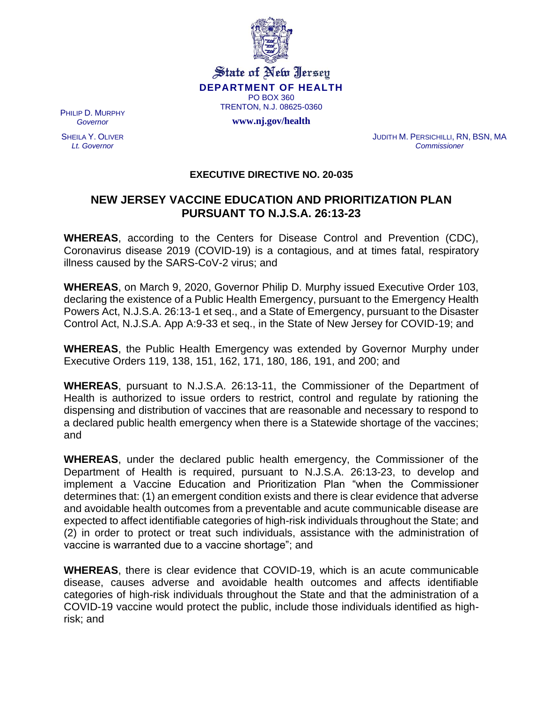

State of New Jersey **DEPARTMENT OF HEALTH** PO BOX 360 TRENTON, N.J. 08625-0360

**www.nj.gov/health**

PHILIP D. MURPHY *Governor*

SHEILA Y. OLIVER *Lt. Governor*

JUDITH M. PERSICHILLI, RN, BSN, MA *Commissioner*

## **EXECUTIVE DIRECTIVE NO. 20-035**

## **NEW JERSEY VACCINE EDUCATION AND PRIORITIZATION PLAN PURSUANT TO N.J.S.A. 26:13-23**

**WHEREAS**, according to the Centers for Disease Control and Prevention (CDC), Coronavirus disease 2019 (COVID-19) is a contagious, and at times fatal, respiratory illness caused by the SARS-CoV-2 virus; and

**WHEREAS**, on March 9, 2020, Governor Philip D. Murphy issued Executive Order 103, declaring the existence of a Public Health Emergency, pursuant to the Emergency Health Powers Act, N.J.S.A. 26:13-1 et seq., and a State of Emergency, pursuant to the Disaster Control Act, N.J.S.A. App A:9-33 et seq., in the State of New Jersey for COVID-19; and

**WHEREAS**, the Public Health Emergency was extended by Governor Murphy under Executive Orders 119, 138, 151, 162, 171, 180, 186, 191, and 200; and

**WHEREAS**, pursuant to N.J.S.A. 26:13-11, the Commissioner of the Department of Health is authorized to issue orders to restrict, control and regulate by rationing the dispensing and distribution of vaccines that are reasonable and necessary to respond to a declared public health emergency when there is a Statewide shortage of the vaccines; and

**WHEREAS**, under the declared public health emergency, the Commissioner of the Department of Health is required, pursuant to N.J.S.A. 26:13-23, to develop and implement a Vaccine Education and Prioritization Plan "when the Commissioner determines that: (1) an emergent condition exists and there is clear evidence that adverse and avoidable health outcomes from a preventable and acute communicable disease are expected to affect identifiable categories of high-risk individuals throughout the State; and (2) in order to protect or treat such individuals, assistance with the administration of vaccine is warranted due to a vaccine shortage"; and

**WHEREAS**, there is clear evidence that COVID-19, which is an acute communicable disease, causes adverse and avoidable health outcomes and affects identifiable categories of high-risk individuals throughout the State and that the administration of a COVID-19 vaccine would protect the public, include those individuals identified as highrisk; and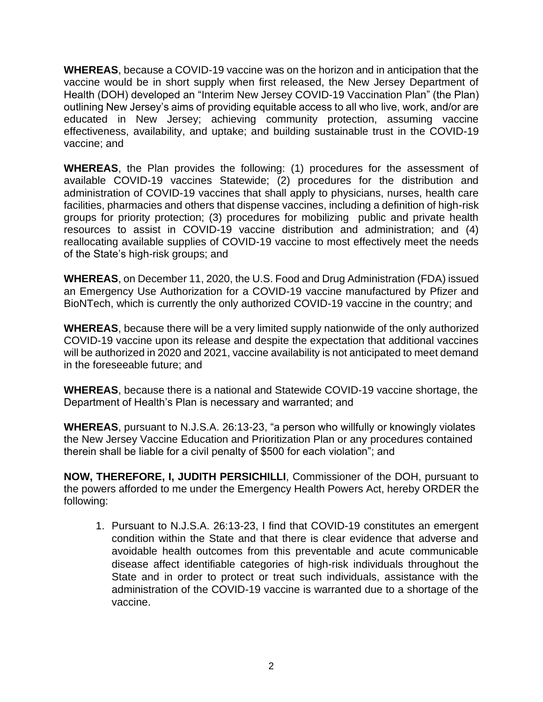**WHEREAS**, because a COVID-19 vaccine was on the horizon and in anticipation that the vaccine would be in short supply when first released, the New Jersey Department of Health (DOH) developed an "Interim New Jersey COVID-19 Vaccination Plan" (the Plan) outlining New Jersey's aims of providing equitable access to all who live, work, and/or are educated in New Jersey; achieving community protection, assuming vaccine effectiveness, availability, and uptake; and building sustainable trust in the COVID-19 vaccine; and

**WHEREAS**, the Plan provides the following: (1) procedures for the assessment of available COVID-19 vaccines Statewide; (2) procedures for the distribution and administration of COVID-19 vaccines that shall apply to physicians, nurses, health care facilities, pharmacies and others that dispense vaccines, including a definition of high-risk groups for priority protection; (3) procedures for mobilizing public and private health resources to assist in COVID-19 vaccine distribution and administration; and (4) reallocating available supplies of COVID-19 vaccine to most effectively meet the needs of the State's high-risk groups; and

**WHEREAS**, on December 11, 2020, the U.S. Food and Drug Administration (FDA) issued an Emergency Use Authorization for a COVID-19 vaccine manufactured by Pfizer and BioNTech, which is currently the only authorized COVID-19 vaccine in the country; and

**WHEREAS**, because there will be a very limited supply nationwide of the only authorized COVID-19 vaccine upon its release and despite the expectation that additional vaccines will be authorized in 2020 and 2021, vaccine availability is not anticipated to meet demand in the foreseeable future; and

**WHEREAS**, because there is a national and Statewide COVID-19 vaccine shortage, the Department of Health's Plan is necessary and warranted; and

**WHEREAS**, pursuant to N.J.S.A. 26:13-23, "a person who willfully or knowingly violates the New Jersey Vaccine Education and Prioritization Plan or any procedures contained therein shall be liable for a civil penalty of \$500 for each violation"; and

**NOW, THEREFORE, I, JUDITH PERSICHILLI**, Commissioner of the DOH, pursuant to the powers afforded to me under the Emergency Health Powers Act, hereby ORDER the following:

1. Pursuant to N.J.S.A. 26:13-23, I find that COVID-19 constitutes an emergent condition within the State and that there is clear evidence that adverse and avoidable health outcomes from this preventable and acute communicable disease affect identifiable categories of high-risk individuals throughout the State and in order to protect or treat such individuals, assistance with the administration of the COVID-19 vaccine is warranted due to a shortage of the vaccine.